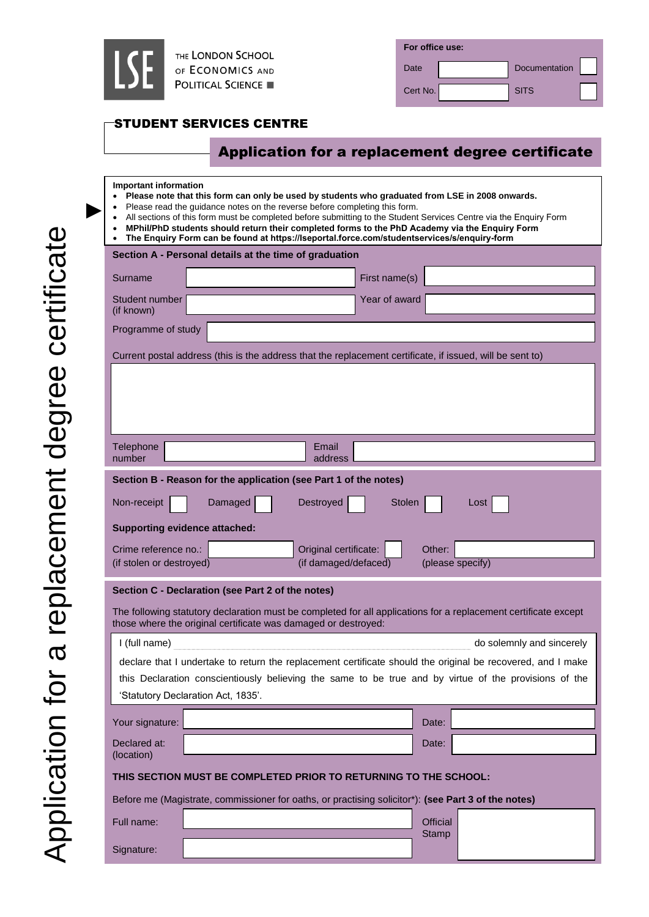

| For office use: |  |               |  |  |  |
|-----------------|--|---------------|--|--|--|
| Date            |  | Documentation |  |  |  |
| Cert No.        |  | <b>SITS</b>   |  |  |  |

# STUDENT SERVICES CENTRE

# Application for a replacement degree certificate

#### **Important information**

►

- **Please note that this form can only be used by students who graduated from LSE in 2008 onwards.**
- Please read the guidance notes on the reverse before completing this form.
	- All sections of this form must be completed before submitting to the Student Services Centre via the Enquiry Form
	- **MPhil/PhD students should return their completed forms to the PhD Academy via the Enquiry Form The Enquiry Form can be found at<https://lseportal.force.com/studentservices/s/enquiry-form>**

| Section A - Personal details at the time of graduation                                                                                                                            |                                    |               |                                                                                                       |  |  |  |
|-----------------------------------------------------------------------------------------------------------------------------------------------------------------------------------|------------------------------------|---------------|-------------------------------------------------------------------------------------------------------|--|--|--|
| Surname                                                                                                                                                                           |                                    | First name(s) |                                                                                                       |  |  |  |
| Student number<br>(if known)                                                                                                                                                      |                                    | Year of award |                                                                                                       |  |  |  |
| Programme of study                                                                                                                                                                |                                    |               |                                                                                                       |  |  |  |
| Current postal address (this is the address that the replacement certificate, if issued, will be sent to)                                                                         |                                    |               |                                                                                                       |  |  |  |
|                                                                                                                                                                                   |                                    |               |                                                                                                       |  |  |  |
|                                                                                                                                                                                   |                                    |               |                                                                                                       |  |  |  |
|                                                                                                                                                                                   |                                    |               |                                                                                                       |  |  |  |
| Telephone                                                                                                                                                                         |                                    | Email         |                                                                                                       |  |  |  |
| number                                                                                                                                                                            |                                    | address       |                                                                                                       |  |  |  |
| Section B - Reason for the application (see Part 1 of the notes)                                                                                                                  |                                    |               |                                                                                                       |  |  |  |
| Non-receipt                                                                                                                                                                       | Damaged                            | Destroyed     | <b>Stolen</b><br>Loss <sub>1</sub>                                                                    |  |  |  |
| <b>Supporting evidence attached:</b>                                                                                                                                              |                                    |               |                                                                                                       |  |  |  |
| Crime reference no.:<br>Original certificate:<br>Other:                                                                                                                           |                                    |               |                                                                                                       |  |  |  |
| (if damaged/defaced)<br>(please specify)<br>(if stolen or destroyed)                                                                                                              |                                    |               |                                                                                                       |  |  |  |
| Section C - Declaration (see Part 2 of the notes)                                                                                                                                 |                                    |               |                                                                                                       |  |  |  |
| The following statutory declaration must be completed for all applications for a replacement certificate except<br>those where the original certificate was damaged or destroyed: |                                    |               |                                                                                                       |  |  |  |
| I (full name)<br>do solemnly and sincerely                                                                                                                                        |                                    |               |                                                                                                       |  |  |  |
| declare that I undertake to return the replacement certificate should the original be recovered, and I make                                                                       |                                    |               |                                                                                                       |  |  |  |
|                                                                                                                                                                                   |                                    |               | this Declaration conscientiously believing the same to be true and by virtue of the provisions of the |  |  |  |
|                                                                                                                                                                                   | 'Statutory Declaration Act, 1835'. |               |                                                                                                       |  |  |  |
| Your signature:                                                                                                                                                                   |                                    |               | Date:                                                                                                 |  |  |  |
| Declared at:<br>(location)                                                                                                                                                        |                                    |               | Date:                                                                                                 |  |  |  |
| THIS SECTION MUST BE COMPLETED PRIOR TO RETURNING TO THE SCHOOL:                                                                                                                  |                                    |               |                                                                                                       |  |  |  |
|                                                                                                                                                                                   |                                    |               | Before me (Magistrate, commissioner for oaths, or practising solicitor*): (see Part 3 of the notes)   |  |  |  |
| Full name:                                                                                                                                                                        |                                    |               | <b>Official</b>                                                                                       |  |  |  |
| Signature:                                                                                                                                                                        |                                    |               | <b>Stamp</b>                                                                                          |  |  |  |